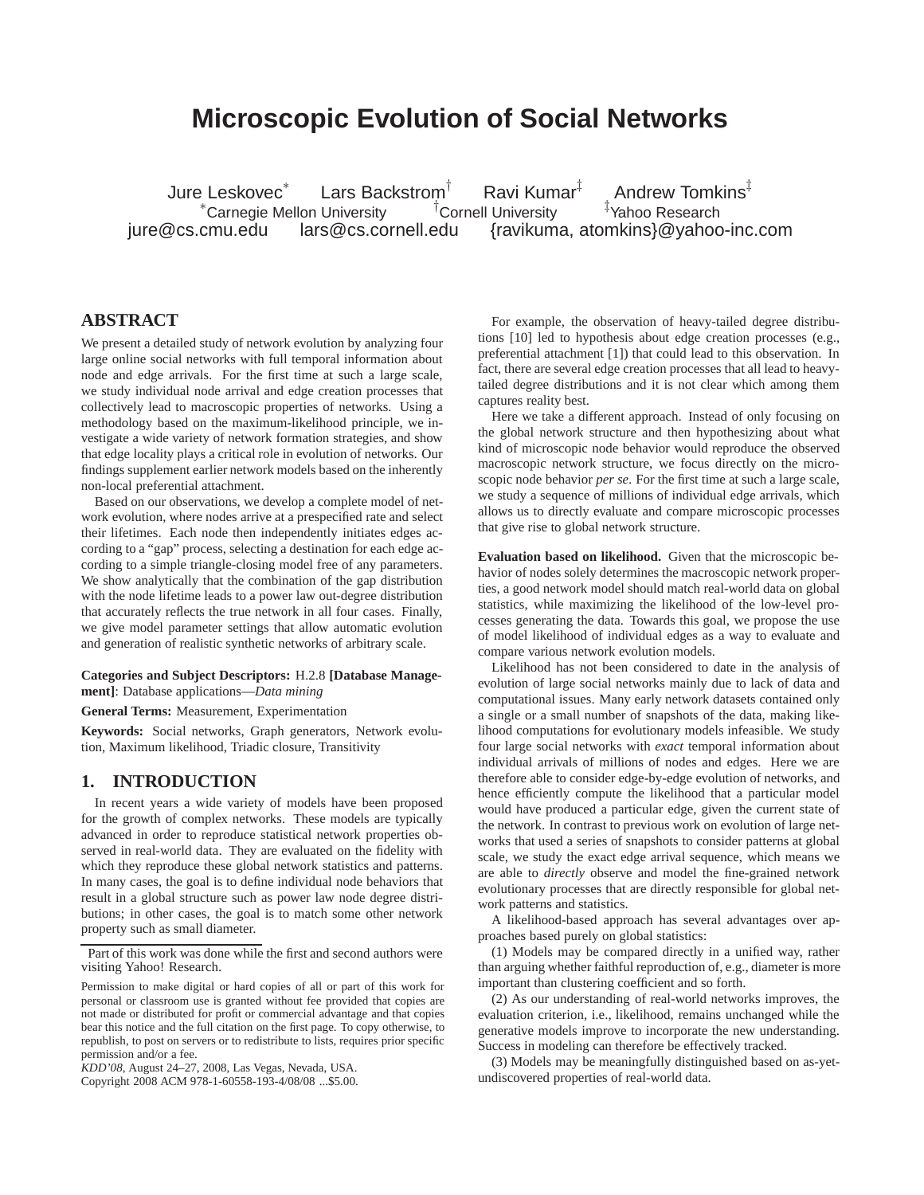# **Microscopic Evolution of Social Networks**

Jure Leskovec<sup>∗</sup> Lars Backstrom<sup>†</sup> Ravi Kumar<sup>‡</sup> Andrew Tomkins<sup>‡</sup> ∗ Carnegie Mellon University † lon University<br>lars@cs.cornell.edu {ravikuma Yahoo Research jure@cs.cmu.edu lars@cs.cornell.edu {ravikuma, atomkins}@yahoo-inc.com

## **ABSTRACT**

We present a detailed study of network evolution by analyzing four large online social networks with full temporal information about node and edge arrivals. For the first time at such a large scale, we study individual node arrival and edge creation processes that collectively lead to macroscopic properties of networks. Using a methodology based on the maximum-likelihood principle, we investigate a wide variety of network formation strategies, and show that edge locality plays a critical role in evolution of networks. Our findings supplement earlier network models based on the inherently non-local preferential attachment.

Based on our observations, we develop a complete model of network evolution, where nodes arrive at a prespecified rate and select their lifetimes. Each node then independently initiates edges according to a "gap" process, selecting a destination for each edge according to a simple triangle-closing model free of any parameters. We show analytically that the combination of the gap distribution with the node lifetime leads to a power law out-degree distribution that accurately reflects the true network in all four cases. Finally, we give model parameter settings that allow automatic evolution and generation of realistic synthetic networks of arbitrary scale.

#### **Categories and Subject Descriptors:** H.2.8 **[Database Management]**: Database applications—*Data mining*

**General Terms:** Measurement, Experimentation

**Keywords:** Social networks, Graph generators, Network evolution, Maximum likelihood, Triadic closure, Transitivity

# **1. INTRODUCTION**

In recent years a wide variety of models have been proposed for the growth of complex networks. These models are typically advanced in order to reproduce statistical network properties observed in real-world data. They are evaluated on the fidelity with which they reproduce these global network statistics and patterns. In many cases, the goal is to define individual node behaviors that result in a global structure such as power law node degree distributions; in other cases, the goal is to match some other network property such as small diameter.

Copyright 2008 ACM 978-1-60558-193-4/08/08 ...\$5.00.

For example, the observation of heavy-tailed degree distributions [10] led to hypothesis about edge creation processes (e.g., preferential attachment [1]) that could lead to this observation. In fact, there are several edge creation processes that all lead to heavytailed degree distributions and it is not clear which among them captures reality best.

Here we take a different approach. Instead of only focusing on the global network structure and then hypothesizing about what kind of microscopic node behavior would reproduce the observed macroscopic network structure, we focus directly on the microscopic node behavior *per se*. For the first time at such a large scale, we study a sequence of millions of individual edge arrivals, which allows us to directly evaluate and compare microscopic processes that give rise to global network structure.

**Evaluation based on likelihood.** Given that the microscopic behavior of nodes solely determines the macroscopic network properties, a good network model should match real-world data on global statistics, while maximizing the likelihood of the low-level processes generating the data. Towards this goal, we propose the use of model likelihood of individual edges as a way to evaluate and compare various network evolution models.

Likelihood has not been considered to date in the analysis of evolution of large social networks mainly due to lack of data and computational issues. Many early network datasets contained only a single or a small number of snapshots of the data, making likelihood computations for evolutionary models infeasible. We study four large social networks with *exact* temporal information about individual arrivals of millions of nodes and edges. Here we are therefore able to consider edge-by-edge evolution of networks, and hence efficiently compute the likelihood that a particular model would have produced a particular edge, given the current state of the network. In contrast to previous work on evolution of large networks that used a series of snapshots to consider patterns at global scale, we study the exact edge arrival sequence, which means we are able to *directly* observe and model the fine-grained network evolutionary processes that are directly responsible for global network patterns and statistics.

A likelihood-based approach has several advantages over approaches based purely on global statistics:

(1) Models may be compared directly in a unified way, rather than arguing whether faithful reproduction of, e.g., diameter is more important than clustering coefficient and so forth.

(2) As our understanding of real-world networks improves, the evaluation criterion, i.e., likelihood, remains unchanged while the generative models improve to incorporate the new understanding. Success in modeling can therefore be effectively tracked.

(3) Models may be meaningfully distinguished based on as-yetundiscovered properties of real-world data.

Part of this work was done while the first and second authors were visiting Yahoo! Research.

Permission to make digital or hard copies of all or part of this work for personal or classroom use is granted without fee provided that copies are not made or distributed for profit or commercial advantage and that copies bear this notice and the full citation on the first page. To copy otherwise, to republish, to post on servers or to redistribute to lists, requires prior specific permission and/or a fee.

*KDD'08,* August 24–27, 2008, Las Vegas, Nevada, USA.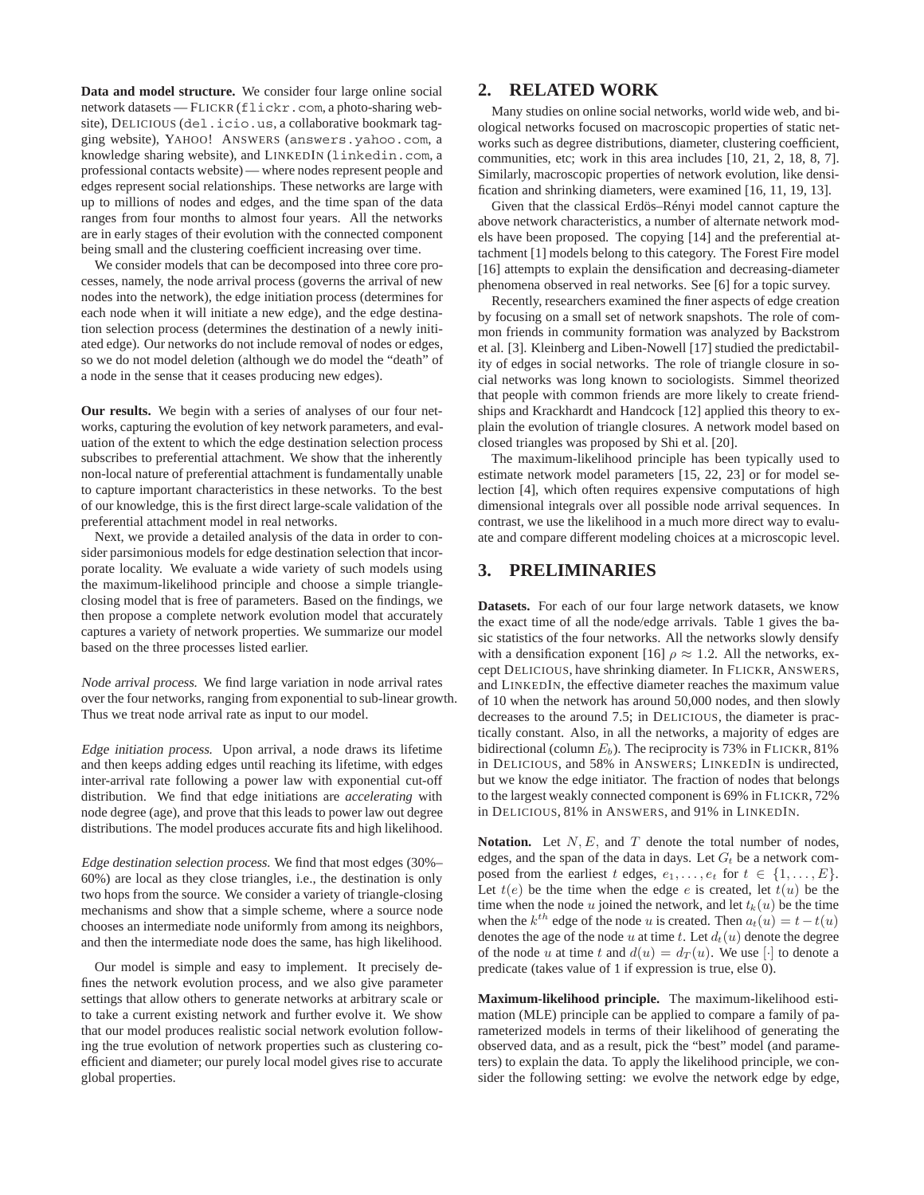**Data and model structure.** We consider four large online social network datasets — FLICKR (flickr.com, a photo-sharing website), DELICIOUS (del.icio.us, a collaborative bookmark tagging website), YAHOO! ANSWERS (answers.yahoo.com, a knowledge sharing website), and LINKEDIN (linkedin.com, a professional contacts website) — where nodes represent people and edges represent social relationships. These networks are large with up to millions of nodes and edges, and the time span of the data ranges from four months to almost four years. All the networks are in early stages of their evolution with the connected component being small and the clustering coefficient increasing over time.

We consider models that can be decomposed into three core processes, namely, the node arrival process (governs the arrival of new nodes into the network), the edge initiation process (determines for each node when it will initiate a new edge), and the edge destination selection process (determines the destination of a newly initiated edge). Our networks do not include removal of nodes or edges, so we do not model deletion (although we do model the "death" of a node in the sense that it ceases producing new edges).

**Our results.** We begin with a series of analyses of our four networks, capturing the evolution of key network parameters, and evaluation of the extent to which the edge destination selection process subscribes to preferential attachment. We show that the inherently non-local nature of preferential attachment is fundamentally unable to capture important characteristics in these networks. To the best of our knowledge, this is the first direct large-scale validation of the preferential attachment model in real networks.

Next, we provide a detailed analysis of the data in order to consider parsimonious models for edge destination selection that incorporate locality. We evaluate a wide variety of such models using the maximum-likelihood principle and choose a simple triangleclosing model that is free of parameters. Based on the findings, we then propose a complete network evolution model that accurately captures a variety of network properties. We summarize our model based on the three processes listed earlier.

Node arrival process. We find large variation in node arrival rates over the four networks, ranging from exponential to sub-linear growth. Thus we treat node arrival rate as input to our model.

Edge initiation process. Upon arrival, a node draws its lifetime and then keeps adding edges until reaching its lifetime, with edges inter-arrival rate following a power law with exponential cut-off distribution. We find that edge initiations are *accelerating* with node degree (age), and prove that this leads to power law out degree distributions. The model produces accurate fits and high likelihood.

Edge destination selection process. We find that most edges (30%– 60%) are local as they close triangles, i.e., the destination is only two hops from the source. We consider a variety of triangle-closing mechanisms and show that a simple scheme, where a source node chooses an intermediate node uniformly from among its neighbors, and then the intermediate node does the same, has high likelihood.

Our model is simple and easy to implement. It precisely defines the network evolution process, and we also give parameter settings that allow others to generate networks at arbitrary scale or to take a current existing network and further evolve it. We show that our model produces realistic social network evolution following the true evolution of network properties such as clustering coefficient and diameter; our purely local model gives rise to accurate global properties.

# **2. RELATED WORK**

Many studies on online social networks, world wide web, and biological networks focused on macroscopic properties of static networks such as degree distributions, diameter, clustering coefficient, communities, etc; work in this area includes [10, 21, 2, 18, 8, 7]. Similarly, macroscopic properties of network evolution, like densification and shrinking diameters, were examined [16, 11, 19, 13].

Given that the classical Erdös–Rényi model cannot capture the above network characteristics, a number of alternate network models have been proposed. The copying [14] and the preferential attachment [1] models belong to this category. The Forest Fire model [16] attempts to explain the densification and decreasing-diameter phenomena observed in real networks. See [6] for a topic survey.

Recently, researchers examined the finer aspects of edge creation by focusing on a small set of network snapshots. The role of common friends in community formation was analyzed by Backstrom et al. [3]. Kleinberg and Liben-Nowell [17] studied the predictability of edges in social networks. The role of triangle closure in social networks was long known to sociologists. Simmel theorized that people with common friends are more likely to create friendships and Krackhardt and Handcock [12] applied this theory to explain the evolution of triangle closures. A network model based on closed triangles was proposed by Shi et al. [20].

The maximum-likelihood principle has been typically used to estimate network model parameters [15, 22, 23] or for model selection [4], which often requires expensive computations of high dimensional integrals over all possible node arrival sequences. In contrast, we use the likelihood in a much more direct way to evaluate and compare different modeling choices at a microscopic level.

## **3. PRELIMINARIES**

**Datasets.** For each of our four large network datasets, we know the exact time of all the node/edge arrivals. Table 1 gives the basic statistics of the four networks. All the networks slowly densify with a densification exponent [16]  $\rho \approx 1.2$ . All the networks, except DELICIOUS, have shrinking diameter. In FLICKR, ANSWERS, and LINKEDIN, the effective diameter reaches the maximum value of 10 when the network has around 50,000 nodes, and then slowly decreases to the around 7.5; in DELICIOUS, the diameter is practically constant. Also, in all the networks, a majority of edges are bidirectional (column  $E<sub>b</sub>$ ). The reciprocity is 73% in FLICKR, 81% in DELICIOUS, and 58% in ANSWERS; LINKEDIN is undirected, but we know the edge initiator. The fraction of nodes that belongs to the largest weakly connected component is 69% in FLICKR, 72% in DELICIOUS, 81% in ANSWERS, and 91% in LINKEDIN.

**Notation.** Let N, E, and T denote the total number of nodes, edges, and the span of the data in days. Let  $G_t$  be a network composed from the earliest t edges,  $e_1, \ldots, e_t$  for  $t \in \{1, \ldots, E\}$ . Let  $t(e)$  be the time when the edge e is created, let  $t(u)$  be the time when the node u joined the network, and let  $t_k(u)$  be the time when the  $k^{th}$  edge of the node u is created. Then  $a_t(u) = t-t(u)$ denotes the age of the node u at time t. Let  $d_t(u)$  denote the degree of the node u at time t and  $d(u) = d_T(u)$ . We use [·] to denote a predicate (takes value of 1 if expression is true, else 0).

**Maximum-likelihood principle.** The maximum-likelihood estimation (MLE) principle can be applied to compare a family of parameterized models in terms of their likelihood of generating the observed data, and as a result, pick the "best" model (and parameters) to explain the data. To apply the likelihood principle, we consider the following setting: we evolve the network edge by edge,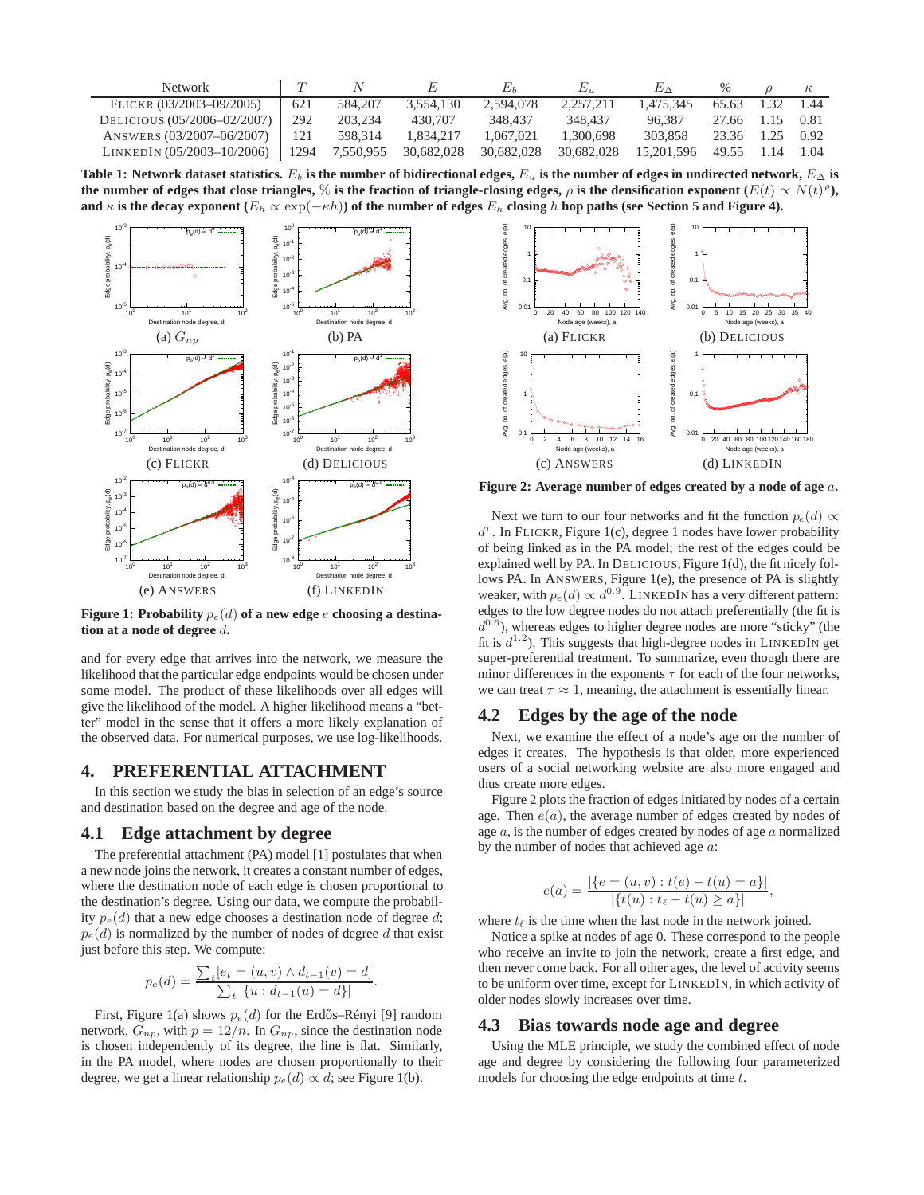| <b>Network</b>                      |     |           | E          | Eъ         | E.,        | EΛ         | $\%$            |      |
|-------------------------------------|-----|-----------|------------|------------|------------|------------|-----------------|------|
| FLICKR (03/2003-09/2005)            | 621 | 584.207   | 3.554.130  | 2.594,078  | 2.257.211  | 1.475.345  | 65.63 1.32 1.44 |      |
| DELICIOUS (05/2006-02/2007)         | 292 | 203.234   | 430.707    | 348,437    | 348,437    | 96.387     | 27.66 1.15      | 0.81 |
| ANSWERS (03/2007-06/2007)           | 121 | 598.314   | 1.834.217  | 1.067.021  | 1.300.698  | 303.858    | 23.36 1.25 0.92 |      |
| LINKEDIN $(05/2003-10/2006)$   1294 |     | 7,550,955 | 30,682,028 | 30,682,028 | 30,682,028 | 15.201.596 | 49.55 1.14 1.04 |      |

**Table 1:** Network dataset statistics.  $E_b$  is the number of bidirectional edges,  $E_u$  is the number of edges in undirected network,  $E_{\Delta}$  is **the number of edges that close triangles,** % is the fraction of triangle-closing edges,  $\rho$  is the densification exponent  $(E(t) \propto N(t)^{\rho}$ ), **and**  $\kappa$  **is the decay exponent**  $(E_h \propto \exp(-\kappa h))$  of the number of edges  $E_h$  closing h hop paths (see Section 5 and Figure 4).



**Figure 1: Probability** pe(d) **of a new edge** e **choosing a destination at a node of degree** d**.**

and for every edge that arrives into the network, we measure the likelihood that the particular edge endpoints would be chosen under some model. The product of these likelihoods over all edges will give the likelihood of the model. A higher likelihood means a "better" model in the sense that it offers a more likely explanation of the observed data. For numerical purposes, we use log-likelihoods.

### **4. PREFERENTIAL ATTACHMENT**

In this section we study the bias in selection of an edge's source and destination based on the degree and age of the node.

## **4.1 Edge attachment by degree**

The preferential attachment (PA) model [1] postulates that when a new node joins the network, it creates a constant number of edges, where the destination node of each edge is chosen proportional to the destination's degree. Using our data, we compute the probability  $p_e(d)$  that a new edge chooses a destination node of degree d;  $p_e(d)$  is normalized by the number of nodes of degree d that exist just before this step. We compute:

$$
p_e(d) = \frac{\sum_t [e_t = (u, v) \land d_{t-1}(v) = d]}{\sum_t |\{u : d_{t-1}(u) = d\}|}.
$$

First, Figure 1(a) shows  $p_e(d)$  for the Erdős–Rényi [9] random network,  $G_{np}$ , with  $p = 12/n$ . In  $G_{np}$ , since the destination node is chosen independently of its degree, the line is flat. Similarly, in the PA model, where nodes are chosen proportionally to their degree, we get a linear relationship  $p_e(d) \propto d$ ; see Figure 1(b).



**Figure 2: Average number of edges created by a node of age** a**.**

Next we turn to our four networks and fit the function  $p_e(d) \propto$  $d^{\tau}$ . In FLICKR, Figure 1(c), degree 1 nodes have lower probability of being linked as in the PA model; the rest of the edges could be explained well by PA. In DELICIOUS, Figure 1(d), the fit nicely follows PA. In ANSWERS, Figure 1(e), the presence of PA is slightly weaker, with  $p_e(d) \propto d^{0.9}$ . LINKEDIN has a very different pattern: edges to the low degree nodes do not attach preferentially (the fit is  $d^{0.6}$ ), whereas edges to higher degree nodes are more "sticky" (the fit is  $d^{1.2}$ ). This suggests that high-degree nodes in LINKEDIN get super-preferential treatment. To summarize, even though there are minor differences in the exponents  $\tau$  for each of the four networks, we can treat  $\tau \approx 1$ , meaning, the attachment is essentially linear.

#### **4.2 Edges by the age of the node**

Next, we examine the effect of a node's age on the number of edges it creates. The hypothesis is that older, more experienced users of a social networking website are also more engaged and thus create more edges.

Figure 2 plots the fraction of edges initiated by nodes of a certain age. Then  $e(a)$ , the average number of edges created by nodes of age  $a$ , is the number of edges created by nodes of age  $a$  normalized by the number of nodes that achieved age a:

$$
e(a) = \frac{|\{e = (u, v) : t(e) - t(u) = a\}|}{|\{t(u) : t_e - t(u) \ge a\}|},
$$

where  $t_{\ell}$  is the time when the last node in the network joined.

Notice a spike at nodes of age 0. These correspond to the people who receive an invite to join the network, create a first edge, and then never come back. For all other ages, the level of activity seems to be uniform over time, except for LINKEDIN, in which activity of older nodes slowly increases over time.

#### **4.3 Bias towards node age and degree**

Using the MLE principle, we study the combined effect of node age and degree by considering the following four parameterized models for choosing the edge endpoints at time  $t$ .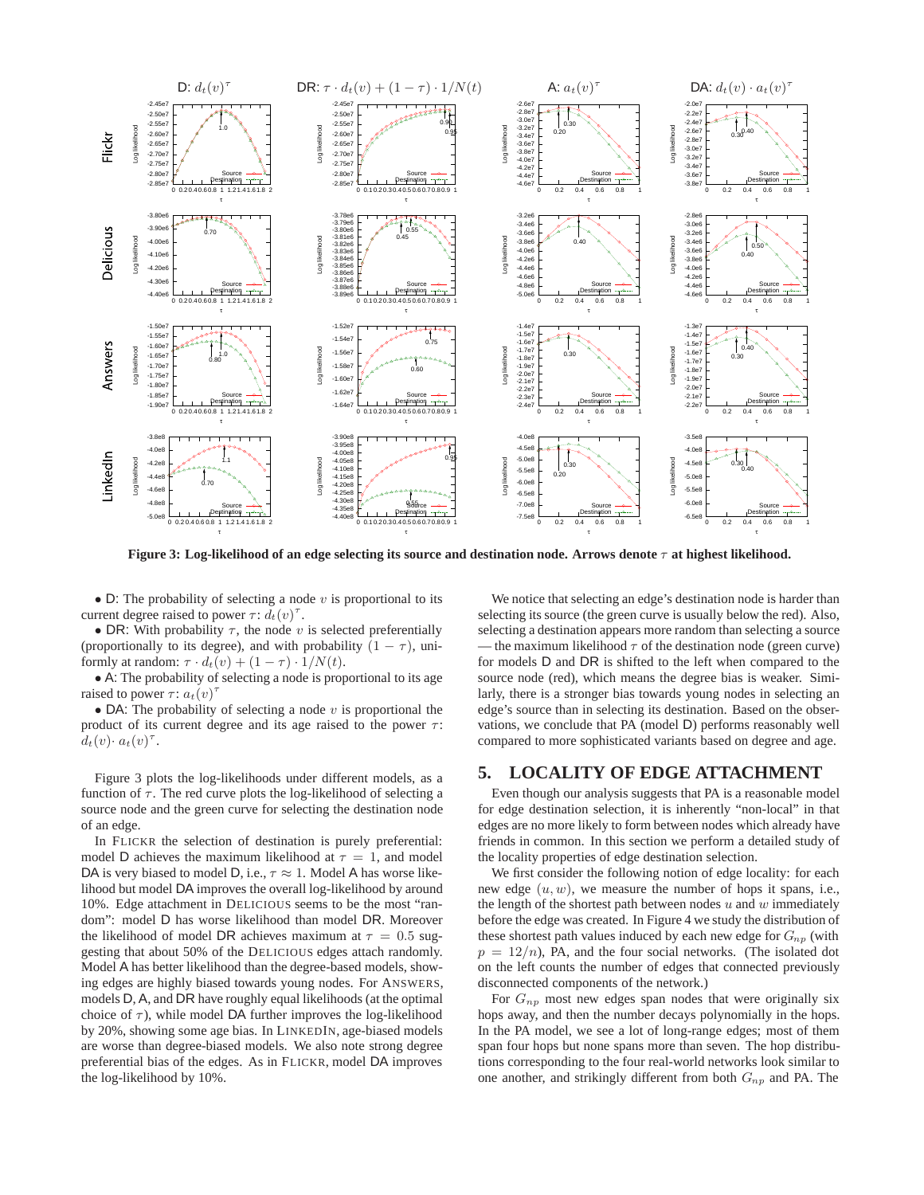

**Figure 3: Log-likelihood of an edge selecting its source and destination node. Arrows denote** τ **at highest likelihood.**

• D: The probability of selecting a node  $v$  is proportional to its current degree raised to power  $\tau$ :  $d_t(v)^\tau$ .

• DR: With probability  $\tau$ , the node v is selected preferentially (proportionally to its degree), and with probability  $(1 - \tau)$ , uniformly at random:  $\tau \cdot d_t(v) + (1 - \tau) \cdot 1/N(t)$ .

• A: The probability of selecting a node is proportional to its age raised to power  $\tau$ :  $a_t(v)^\tau$ 

• DA: The probability of selecting a node  $v$  is proportional the product of its current degree and its age raised to the power  $\tau$ :  $d_t(v)$  ·  $a_t(v)$ <sup> $\tau$ </sup>.

Figure 3 plots the log-likelihoods under different models, as a function of  $\tau$ . The red curve plots the log-likelihood of selecting a source node and the green curve for selecting the destination node of an edge.

In FLICKR the selection of destination is purely preferential: model D achieves the maximum likelihood at  $\tau = 1$ , and model DA is very biased to model D, i.e.,  $\tau \approx 1$ . Model A has worse likelihood but model DA improves the overall log-likelihood by around 10%. Edge attachment in DELICIOUS seems to be the most "random": model D has worse likelihood than model DR. Moreover the likelihood of model DR achieves maximum at  $\tau = 0.5$  suggesting that about 50% of the DELICIOUS edges attach randomly. Model A has better likelihood than the degree-based models, showing edges are highly biased towards young nodes. For ANSWERS, models D, A, and DR have roughly equal likelihoods (at the optimal choice of  $\tau$ ), while model DA further improves the log-likelihood by 20%, showing some age bias. In LINKEDIN, age-biased models are worse than degree-biased models. We also note strong degree preferential bias of the edges. As in FLICKR, model DA improves the log-likelihood by 10%.

We notice that selecting an edge's destination node is harder than selecting its source (the green curve is usually below the red). Also, selecting a destination appears more random than selecting a source — the maximum likelihood  $\tau$  of the destination node (green curve) for models D and DR is shifted to the left when compared to the source node (red), which means the degree bias is weaker. Similarly, there is a stronger bias towards young nodes in selecting an edge's source than in selecting its destination. Based on the observations, we conclude that PA (model D) performs reasonably well compared to more sophisticated variants based on degree and age.

## **5. LOCALITY OF EDGE ATTACHMENT**

Even though our analysis suggests that PA is a reasonable model for edge destination selection, it is inherently "non-local" in that edges are no more likely to form between nodes which already have friends in common. In this section we perform a detailed study of the locality properties of edge destination selection.

We first consider the following notion of edge locality: for each new edge  $(u, w)$ , we measure the number of hops it spans, i.e., the length of the shortest path between nodes  $u$  and  $w$  immediately before the edge was created. In Figure 4 we study the distribution of these shortest path values induced by each new edge for  $G_{np}$  (with  $p = 12/n$ , PA, and the four social networks. (The isolated dot on the left counts the number of edges that connected previously disconnected components of the network.)

For  $G_{np}$  most new edges span nodes that were originally six hops away, and then the number decays polynomially in the hops. In the PA model, we see a lot of long-range edges; most of them span four hops but none spans more than seven. The hop distributions corresponding to the four real-world networks look similar to one another, and strikingly different from both  $G_{np}$  and PA. The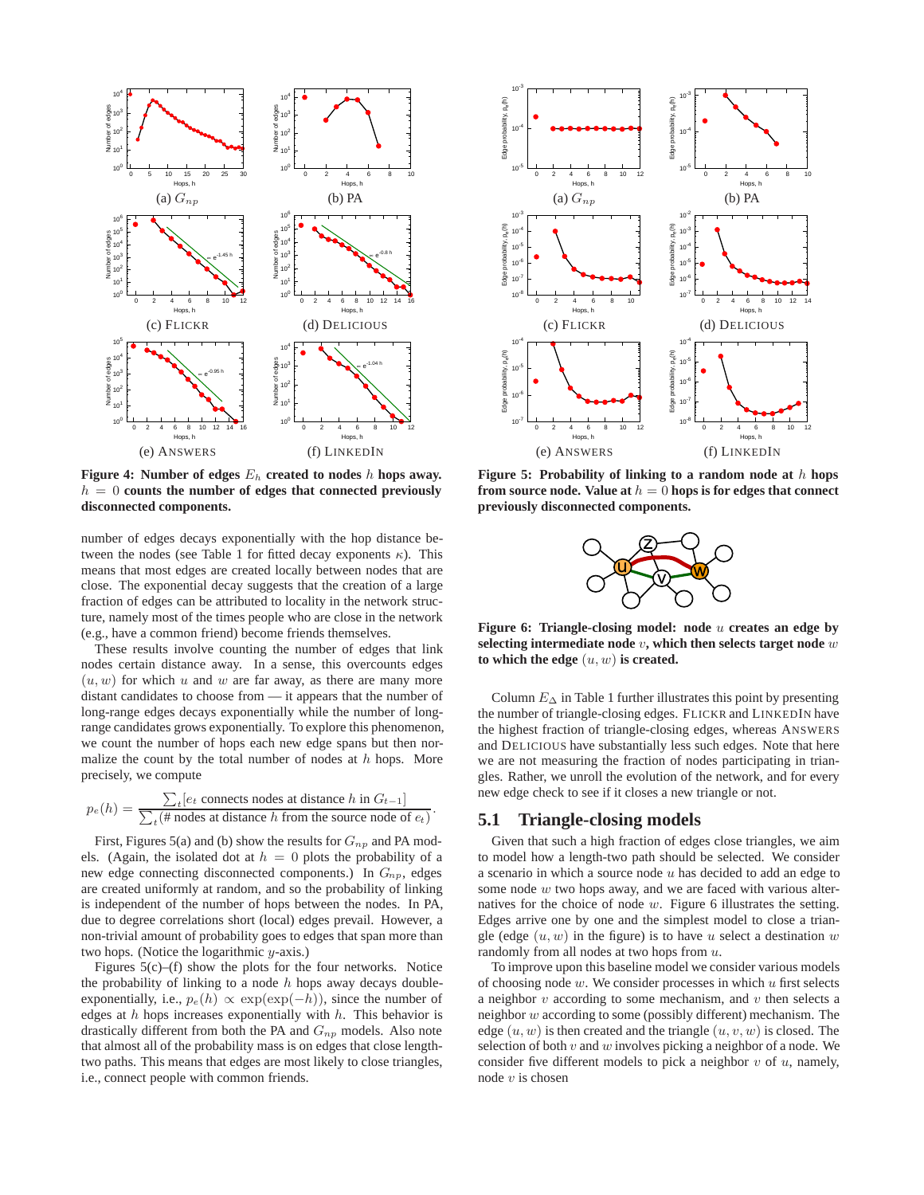

**Figure 4:** Number of edges  $E_h$  created to nodes h hops away. h = 0 **counts the number of edges that connected previously disconnected components.**

number of edges decays exponentially with the hop distance between the nodes (see Table 1 for fitted decay exponents  $\kappa$ ). This means that most edges are created locally between nodes that are close. The exponential decay suggests that the creation of a large fraction of edges can be attributed to locality in the network structure, namely most of the times people who are close in the network (e.g., have a common friend) become friends themselves.

These results involve counting the number of edges that link nodes certain distance away. In a sense, this overcounts edges  $(u, w)$  for which u and w are far away, as there are many more distant candidates to choose from — it appears that the number of long-range edges decays exponentially while the number of longrange candidates grows exponentially. To explore this phenomenon, we count the number of hops each new edge spans but then normalize the count by the total number of nodes at  $h$  hops. More precisely, we compute

$$
p_e(h) = \frac{\sum_{t} [e_t \text{ connects nodes at distance } h \text{ in } G_{t-1}]}{\sum_{t} (\text{# nodes at distance } h \text{ from the source node of } e_t)}.
$$

First, Figures 5(a) and (b) show the results for  $G_{np}$  and PA models. (Again, the isolated dot at  $h = 0$  plots the probability of a new edge connecting disconnected components.) In  $G_{np}$ , edges are created uniformly at random, and so the probability of linking is independent of the number of hops between the nodes. In PA, due to degree correlations short (local) edges prevail. However, a non-trivial amount of probability goes to edges that span more than two hops. (Notice the logarithmic  $y$ -axis.)

Figures 5(c)–(f) show the plots for the four networks. Notice the probability of linking to a node  $h$  hops away decays doubleexponentially, i.e.,  $p_e(h) \propto \exp(\exp(-h))$ , since the number of edges at  $h$  hops increases exponentially with  $h$ . This behavior is drastically different from both the PA and  $G_{np}$  models. Also note that almost all of the probability mass is on edges that close lengthtwo paths. This means that edges are most likely to close triangles, i.e., connect people with common friends.



**Figure 5: Probability of linking to a random node at** h **hops from source node. Value at**  $h = 0$  hops is for edges that connect **previously disconnected components.**



**Figure 6: Triangle-closing model: node** u **creates an edge by selecting intermediate node** v**, which then selects target node** w **to which the edge** (u, w) **is created.**

Column  $E_{\Delta}$  in Table 1 further illustrates this point by presenting the number of triangle-closing edges. FLICKR and LINKEDIN have the highest fraction of triangle-closing edges, whereas ANSWERS and DELICIOUS have substantially less such edges. Note that here we are not measuring the fraction of nodes participating in triangles. Rather, we unroll the evolution of the network, and for every new edge check to see if it closes a new triangle or not.

#### **5.1 Triangle-closing models**

Given that such a high fraction of edges close triangles, we aim to model how a length-two path should be selected. We consider a scenario in which a source node  $u$  has decided to add an edge to some node  $w$  two hops away, and we are faced with various alternatives for the choice of node w. Figure 6 illustrates the setting. Edges arrive one by one and the simplest model to close a triangle (edge  $(u, w)$  in the figure) is to have u select a destination w randomly from all nodes at two hops from u.

To improve upon this baseline model we consider various models of choosing node  $w$ . We consider processes in which  $u$  first selects a neighbor  $v$  according to some mechanism, and  $v$  then selects a neighbor  $w$  according to some (possibly different) mechanism. The edge  $(u, w)$  is then created and the triangle  $(u, v, w)$  is closed. The selection of both  $v$  and  $w$  involves picking a neighbor of a node. We consider five different models to pick a neighbor  $v$  of  $u$ , namely, node  $v$  is chosen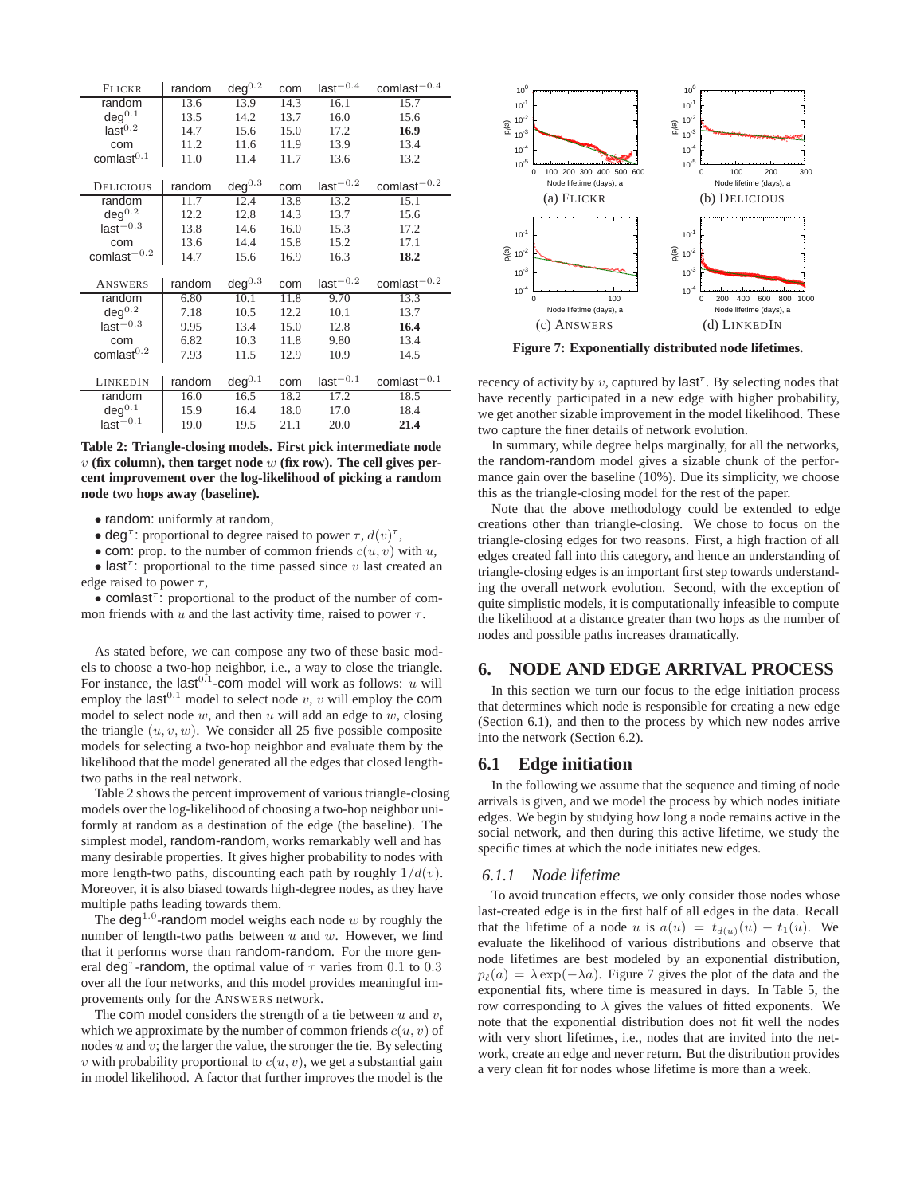| <b>FLICKR</b>                 | random | deg <sup>0.2</sup> | com  | $last-0.4$    | $comlast^{-0.4}$ |
|-------------------------------|--------|--------------------|------|---------------|------------------|
| random                        | 13.6   | 13.9               | 14.3 | 16.1          | 15.7             |
| deg <sup>0.1</sup>            | 13.5   | 14.2               | 13.7 | 16.0          | 15.6             |
| $last^{0.2}$                  | 14.7   | 15.6               | 15.0 | 17.2          | 16.9             |
| com                           | 11.2   | 11.6               | 11.9 | 13.9          | 13.4             |
| $comlast^{0.1}$               | 11.0   | 11.4               | 11.7 | 13.6          | 13.2             |
|                               |        |                    |      |               |                  |
| <b>DELICIOUS</b>              | random | $deg^{0.3}$        | com  | $last^{-0.2}$ | $comlast^{-0.2}$ |
| random                        | 11.7   | 12.4               | 13.8 | 13.2          | 15.1             |
| deg <sup>0.2</sup>            | 12.2   | 12.8               | 14.3 | 13.7          | 15.6             |
| $last-0.3$                    | 13.8   | 14.6               | 16.0 | 15.3          | 17.2             |
| com                           | 13.6   | 14.4               | 15.8 | 15.2          | 17.1             |
| $\text{comlast}^{-0.2}$       | 14.7   | 15.6               | 16.9 | 16.3          | 18.2             |
|                               |        |                    |      |               |                  |
|                               |        |                    |      |               |                  |
| <b>ANSWERS</b>                | random | $deg^{0.3}$        | com  | $last^{-0.2}$ | $comlast^{-0.2}$ |
| random                        | 6.80   | 10.1               | 11.8 | 9.70          | 13.3             |
| $deg^{0.2}$                   | 7.18   | 10.5               | 12.2 | 10.1          | 13.7             |
| $last^{-0.3}$                 | 9.95   | 13.4               | 15.0 | 12.8          | 16.4             |
| com                           | 6.82   | 10.3               | 11.8 | 9.80          | 13.4             |
| $comlast^{0.2}$               | 7.93   | 11.5               | 12.9 | 10.9          | 14.5             |
|                               |        |                    |      |               |                  |
| LINKEDIN                      | random | $deg^{0.1}$        | com  | $last^{-0.1}$ | $comlast^{-0.1}$ |
| random                        | 16.0   | 16.5               | 18.2 | 17.2          | 18.5             |
| $\deg^{0.1}$<br>$last^{-0.1}$ | 15.9   | 16.4               | 18.0 | 17.0          | 18.4             |

**Table 2: Triangle-closing models. First pick intermediate node** v **(fix column), then target node** w **(fix row). The cell gives percent improvement over the log-likelihood of picking a random node two hops away (baseline).**

• random: uniformly at random,

• deg<sup> $\tau$ </sup>: proportional to degree raised to power  $\tau$ ,  $d(v)^{\tau}$ ,

• com: prop. to the number of common friends  $c(u, v)$  with  $u$ ,

• last<sup> $\tau$ </sup>: proportional to the time passed since v last created an edge raised to power  $\tau$ ,

 $\bullet$  comlast<sup> $\tau$ </sup>: proportional to the product of the number of common friends with  $u$  and the last activity time, raised to power  $\tau$ .

As stated before, we can compose any two of these basic models to choose a two-hop neighbor, i.e., a way to close the triangle. For instance, the last<sup> $0.1$ </sup>-com model will work as follows: u will employ the last<sup> $0.1$ </sup> model to select node v, v will employ the com model to select node  $w$ , and then  $u$  will add an edge to  $w$ , closing the triangle  $(u, v, w)$ . We consider all 25 five possible composite models for selecting a two-hop neighbor and evaluate them by the likelihood that the model generated all the edges that closed lengthtwo paths in the real network.

Table 2 shows the percent improvement of various triangle-closing models over the log-likelihood of choosing a two-hop neighbor uniformly at random as a destination of the edge (the baseline). The simplest model, random-random, works remarkably well and has many desirable properties. It gives higher probability to nodes with more length-two paths, discounting each path by roughly  $1/d(v)$ . Moreover, it is also biased towards high-degree nodes, as they have multiple paths leading towards them.

The deg<sup>1.0</sup>-random model weighs each node w by roughly the number of length-two paths between  $u$  and  $w$ . However, we find that it performs worse than random-random. For the more general deg<sup> $\tau$ </sup>-random, the optimal value of  $\tau$  varies from 0.1 to 0.3 over all the four networks, and this model provides meaningful improvements only for the ANSWERS network.

The com model considers the strength of a tie between  $u$  and  $v$ , which we approximate by the number of common friends  $c(u, v)$  of nodes  $u$  and  $v$ ; the larger the value, the stronger the tie. By selecting v with probability proportional to  $c(u, v)$ , we get a substantial gain in model likelihood. A factor that further improves the model is the



**Figure 7: Exponentially distributed node lifetimes.**

recency of activity by v, captured by  $\textsf{last}^{\tau}$ . By selecting nodes that have recently participated in a new edge with higher probability, we get another sizable improvement in the model likelihood. These two capture the finer details of network evolution.

In summary, while degree helps marginally, for all the networks, the random-random model gives a sizable chunk of the performance gain over the baseline (10%). Due its simplicity, we choose this as the triangle-closing model for the rest of the paper.

Note that the above methodology could be extended to edge creations other than triangle-closing. We chose to focus on the triangle-closing edges for two reasons. First, a high fraction of all edges created fall into this category, and hence an understanding of triangle-closing edges is an important first step towards understanding the overall network evolution. Second, with the exception of quite simplistic models, it is computationally infeasible to compute the likelihood at a distance greater than two hops as the number of nodes and possible paths increases dramatically.

# **6. NODE AND EDGE ARRIVAL PROCESS**

In this section we turn our focus to the edge initiation process that determines which node is responsible for creating a new edge (Section 6.1), and then to the process by which new nodes arrive into the network (Section 6.2).

# **6.1 Edge initiation**

In the following we assume that the sequence and timing of node arrivals is given, and we model the process by which nodes initiate edges. We begin by studying how long a node remains active in the social network, and then during this active lifetime, we study the specific times at which the node initiates new edges.

#### *6.1.1 Node lifetime*

To avoid truncation effects, we only consider those nodes whose last-created edge is in the first half of all edges in the data. Recall that the lifetime of a node u is  $a(u) = t_{d(u)}(u) - t_1(u)$ . We evaluate the likelihood of various distributions and observe that node lifetimes are best modeled by an exponential distribution,  $p_{\ell}(a) = \lambda \exp(-\lambda a)$ . Figure 7 gives the plot of the data and the exponential fits, where time is measured in days. In Table 5, the row corresponding to  $\lambda$  gives the values of fitted exponents. We note that the exponential distribution does not fit well the nodes with very short lifetimes, i.e., nodes that are invited into the network, create an edge and never return. But the distribution provides a very clean fit for nodes whose lifetime is more than a week.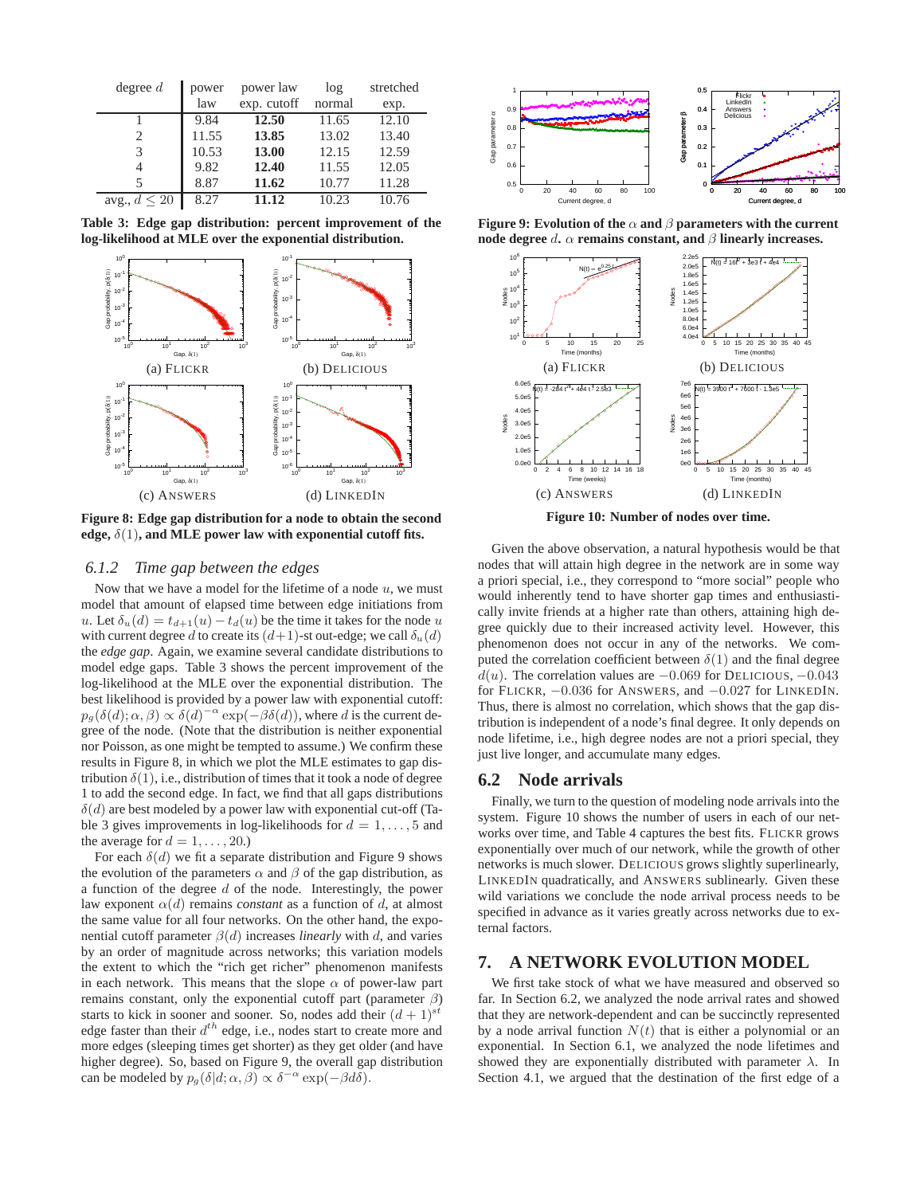| degree $d$             | power | log<br>power law |        | stretched |  |
|------------------------|-------|------------------|--------|-----------|--|
|                        | law   | exp. cutoff      | normal | exp.      |  |
|                        | 9.84  | 12.50            | 11.65  | 12.10     |  |
| 2                      | 11.55 | 13.85            | 13.02  | 13.40     |  |
| 3                      | 10.53 | 13.00            | 12.15  | 12.59     |  |
| 4                      | 9.82  | 12.40            | 11.55  | 12.05     |  |
| 5                      | 8.87  | 11.62            | 10.77  | 11.28     |  |
| $\leq 20$<br>avg., $d$ | 8.27  | 11.12            | 10.23  | 10.76     |  |

**Table 3: Edge gap distribution: percent improvement of the log-likelihood at MLE over the exponential distribution.**



**Figure 8: Edge gap distribution for a node to obtain the second** edge,  $\delta(1)$ , and MLE power law with exponential cutoff fits.

#### *6.1.2 Time gap between the edges*

Now that we have a model for the lifetime of a node  $u$ , we must model that amount of elapsed time between edge initiations from u. Let  $\delta_u(d) = t_{d+1}(u) - t_d(u)$  be the time it takes for the node u with current degree d to create its  $(d+1)$ -st out-edge; we call  $\delta_u(d)$ the *edge gap*. Again, we examine several candidate distributions to model edge gaps. Table 3 shows the percent improvement of the log-likelihood at the MLE over the exponential distribution. The best likelihood is provided by a power law with exponential cutoff:  $p_g(\delta(d); \alpha, \beta) \propto \delta(d)^{-\alpha} \exp(-\beta \delta(d))$ , where d is the current degree of the node. (Note that the distribution is neither exponential nor Poisson, as one might be tempted to assume.) We confirm these results in Figure 8, in which we plot the MLE estimates to gap distribution  $\delta(1)$ , i.e., distribution of times that it took a node of degree 1 to add the second edge. In fact, we find that all gaps distributions  $\delta(d)$  are best modeled by a power law with exponential cut-off (Table 3 gives improvements in log-likelihoods for  $d = 1, \ldots, 5$  and the average for  $d = 1, \ldots, 20$ .

For each  $\delta(d)$  we fit a separate distribution and Figure 9 shows the evolution of the parameters  $\alpha$  and  $\beta$  of the gap distribution, as a function of the degree  $d$  of the node. Interestingly, the power law exponent  $\alpha(d)$  remains *constant* as a function of d, at almost the same value for all four networks. On the other hand, the exponential cutoff parameter  $\beta(d)$  increases *linearly* with d, and varies by an order of magnitude across networks; this variation models the extent to which the "rich get richer" phenomenon manifests in each network. This means that the slope  $\alpha$  of power-law part remains constant, only the exponential cutoff part (parameter  $\beta$ ) starts to kick in sooner and sooner. So, nodes add their  $(d+1)^{st}$ edge faster than their  $d^{th}$  edge, i.e., nodes start to create more and more edges (sleeping times get shorter) as they get older (and have higher degree). So, based on Figure 9, the overall gap distribution can be modeled by  $p_g(\delta|d; \alpha, \beta) \propto \delta^{-\alpha} \exp(-\beta d\delta)$ .



**Figure 9: Evolution of the**  $\alpha$  **and**  $\beta$  **parameters with the current node degree** d,  $\alpha$  **remains constant, and**  $\beta$  **linearly increases.** 



**Figure 10: Number of nodes over time.**

Given the above observation, a natural hypothesis would be that nodes that will attain high degree in the network are in some way a priori special, i.e., they correspond to "more social" people who would inherently tend to have shorter gap times and enthusiastically invite friends at a higher rate than others, attaining high degree quickly due to their increased activity level. However, this phenomenon does not occur in any of the networks. We computed the correlation coefficient between  $\delta(1)$  and the final degree  $d(u)$ . The correlation values are  $-0.069$  for DELICIOUS,  $-0.043$ for FLICKR, −0.036 for ANSWERS, and −0.027 for LINKEDIN. Thus, there is almost no correlation, which shows that the gap distribution is independent of a node's final degree. It only depends on node lifetime, i.e., high degree nodes are not a priori special, they just live longer, and accumulate many edges.

#### **6.2 Node arrivals**

Finally, we turn to the question of modeling node arrivals into the system. Figure 10 shows the number of users in each of our networks over time, and Table 4 captures the best fits. FLICKR grows exponentially over much of our network, while the growth of other networks is much slower. DELICIOUS grows slightly superlinearly, LINKEDIN quadratically, and ANSWERS sublinearly. Given these wild variations we conclude the node arrival process needs to be specified in advance as it varies greatly across networks due to external factors.

# **7. A NETWORK EVOLUTION MODEL**

We first take stock of what we have measured and observed so far. In Section 6.2, we analyzed the node arrival rates and showed that they are network-dependent and can be succinctly represented by a node arrival function  $N(t)$  that is either a polynomial or an exponential. In Section 6.1, we analyzed the node lifetimes and showed they are exponentially distributed with parameter  $\lambda$ . In Section 4.1, we argued that the destination of the first edge of a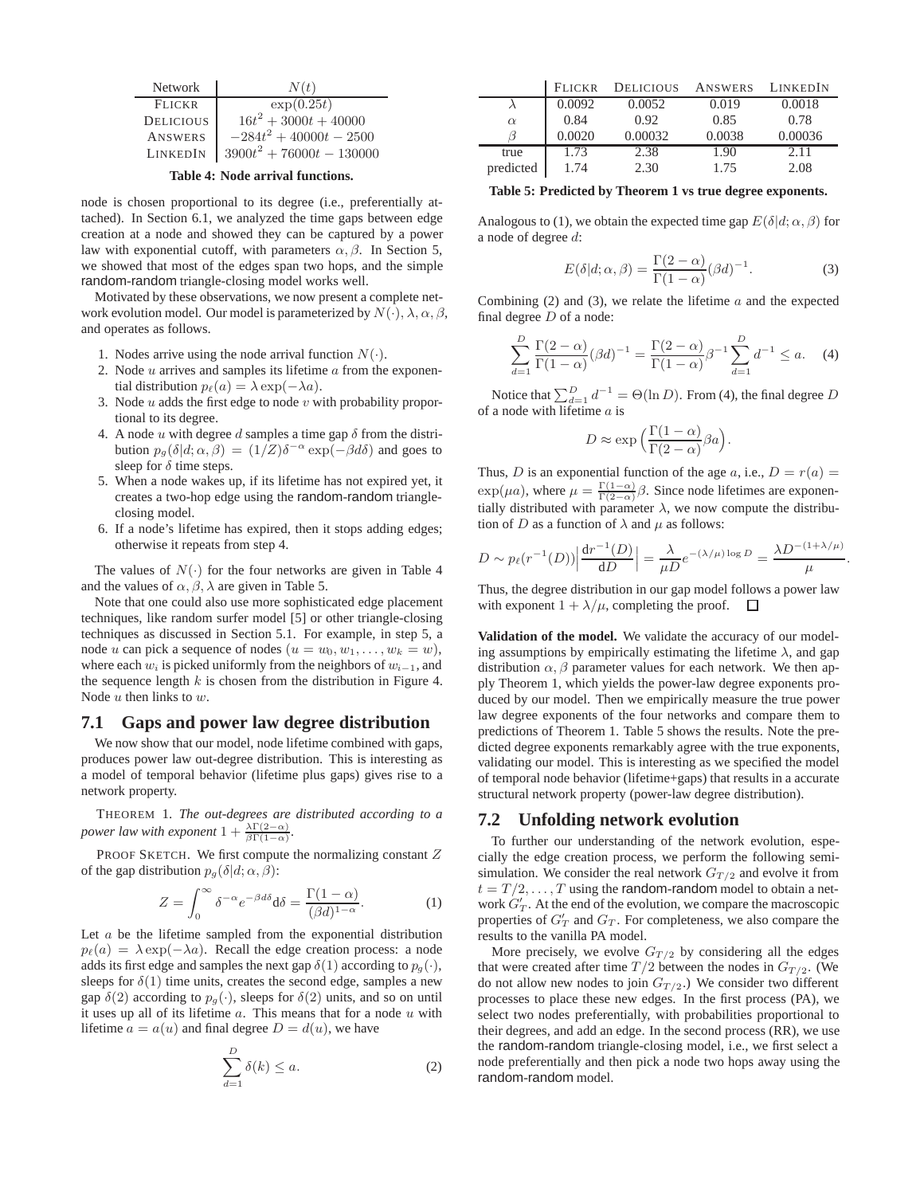| <b>Network</b>   | N(t)                        |
|------------------|-----------------------------|
| <b>FLICKR</b>    | $\exp(0.25t)$               |
| <b>DELICIOUS</b> | $16t^2 + 3000t + 40000$     |
| <b>ANSWERS</b>   | $-284t^2 + 40000t - 2500$   |
| <b>LINKEDIN</b>  | $3900t^2 + 76000t - 130000$ |

**Table 4: Node arrival functions.**

node is chosen proportional to its degree (i.e., preferentially attached). In Section 6.1, we analyzed the time gaps between edge creation at a node and showed they can be captured by a power law with exponential cutoff, with parameters  $\alpha$ ,  $\beta$ . In Section 5, we showed that most of the edges span two hops, and the simple random-random triangle-closing model works well.

Motivated by these observations, we now present a complete network evolution model. Our model is parameterized by  $N(\cdot)$ ,  $\lambda$ ,  $\alpha$ ,  $\beta$ , and operates as follows.

- 1. Nodes arrive using the node arrival function  $N(\cdot)$ .
- 2. Node  $u$  arrives and samples its lifetime  $\alpha$  from the exponential distribution  $p_{\ell}(a) = \lambda \exp(-\lambda a)$ .
- 3. Node  $u$  adds the first edge to node  $v$  with probability proportional to its degree.
- 4. A node u with degree d samples a time gap  $\delta$  from the distribution  $p_q(\delta|d; \alpha, \beta) = (1/Z)\delta^{-\alpha} \exp(-\beta d\delta)$  and goes to sleep for  $\delta$  time steps.
- 5. When a node wakes up, if its lifetime has not expired yet, it creates a two-hop edge using the random-random triangleclosing model.
- 6. If a node's lifetime has expired, then it stops adding edges; otherwise it repeats from step 4.

The values of  $N(\cdot)$  for the four networks are given in Table 4 and the values of  $\alpha$ ,  $\beta$ ,  $\lambda$  are given in Table 5.

Note that one could also use more sophisticated edge placement techniques, like random surfer model [5] or other triangle-closing techniques as discussed in Section 5.1. For example, in step 5, a node u can pick a sequence of nodes  $(u = w_0, w_1, \ldots, w_k = w)$ , where each  $w_i$  is picked uniformly from the neighbors of  $w_{i-1}$ , and the sequence length  $k$  is chosen from the distribution in Figure 4. Node  $u$  then links to  $w$ .

#### **7.1 Gaps and power law degree distribution**

We now show that our model, node lifetime combined with gaps, produces power law out-degree distribution. This is interesting as a model of temporal behavior (lifetime plus gaps) gives rise to a network property.

THEOREM 1. *The out-degrees are distributed according to a power law with exponent*  $1 + \frac{\lambda \Gamma(2-\alpha)}{\beta \Gamma(1-\alpha)}$ *.* 

PROOF SKETCH. We first compute the normalizing constant Z of the gap distribution  $p_g(\delta|d; \alpha, \beta)$ :

$$
Z = \int_0^\infty \delta^{-\alpha} e^{-\beta d\delta} d\delta = \frac{\Gamma(1-\alpha)}{(\beta d)^{1-\alpha}}.
$$
 (1)

Let  $a$  be the lifetime sampled from the exponential distribution  $p_{\ell}(a) = \lambda \exp(-\lambda a)$ . Recall the edge creation process: a node adds its first edge and samples the next gap  $\delta(1)$  according to  $p_q(\cdot)$ , sleeps for  $\delta(1)$  time units, creates the second edge, samples a new gap  $\delta(2)$  according to  $p_q(\cdot)$ , sleeps for  $\delta(2)$  units, and so on until it uses up all of its lifetime  $a$ . This means that for a node  $u$  with lifetime  $a = a(u)$  and final degree  $D = d(u)$ , we have

$$
\sum_{d=1}^{D} \delta(k) \le a.
$$
 (2)

|           | <b>FLICKR</b> | <b>DELICIOUS</b> | ANSWERS | LINKEDIN |
|-----------|---------------|------------------|---------|----------|
|           | 0.0092        | 0.0052           | 0.019   | 0.0018   |
| $\alpha$  | 0.84          | 0.92             | 0.85    | 0.78     |
|           | 0.0020        | 0.00032          | 0.0038  | 0.00036  |
| true      | 1.73          | 2.38             | 1.90    | 2.11     |
| predicted | 1.74          | 2.30             | 1.75    | 2.08     |

**Table 5: Predicted by Theorem 1 vs true degree exponents.**

Analogous to (1), we obtain the expected time gap  $E(\delta | d; \alpha, \beta)$  for a node of degree d:

$$
E(\delta|d; \alpha, \beta) = \frac{\Gamma(2-\alpha)}{\Gamma(1-\alpha)} (\beta d)^{-1}.
$$
 (3)

Combining  $(2)$  and  $(3)$ , we relate the lifetime a and the expected final degree  $D$  of a node:

$$
\sum_{d=1}^{D} \frac{\Gamma(2-\alpha)}{\Gamma(1-\alpha)} (\beta d)^{-1} = \frac{\Gamma(2-\alpha)}{\Gamma(1-\alpha)} \beta^{-1} \sum_{d=1}^{D} d^{-1} \le a.
$$
 (4)

Notice that  $\sum_{d=1}^{D} d^{-1} = \Theta(\ln D)$ . From (4), the final degree D a node with lifetime a is of a node with lifetime a is

$$
D \approx \exp\left(\frac{\Gamma(1-\alpha)}{\Gamma(2-\alpha)}\beta a\right).
$$

Thus, D is an exponential function of the age a, i.e.,  $D = r(a)$  $\exp(\mu a)$ , where  $\mu = \frac{\Gamma(1-\alpha)}{\Gamma(2-\alpha)} \beta$ . Since node lifetimes are exponen-<br>tially distributed with proporator ), we now compute the distributially distributed with parameter  $\lambda$ , we now compute the distribution of D as a function of  $\lambda$  and  $\mu$  as follows:

$$
D \sim p_{\ell}(r^{-1}(D)) \left| \frac{dr^{-1}(D)}{dD} \right| = \frac{\lambda}{\mu D} e^{-(\lambda/\mu) \log D} = \frac{\lambda D^{-(1+\lambda/\mu)}}{\mu}.
$$

Thus, the degree distribution in our gap model follows a power law with exponent  $1 + \lambda/\mu$ , completing the proof.  $\Box$ 

**Validation of the model.** We validate the accuracy of our modeling assumptions by empirically estimating the lifetime  $\lambda$ , and gap distribution  $\alpha$ ,  $\beta$  parameter values for each network. We then apply Theorem 1, which yields the power-law degree exponents produced by our model. Then we empirically measure the true power law degree exponents of the four networks and compare them to predictions of Theorem 1. Table 5 shows the results. Note the predicted degree exponents remarkably agree with the true exponents, validating our model. This is interesting as we specified the model of temporal node behavior (lifetime+gaps) that results in a accurate structural network property (power-law degree distribution).

## **7.2 Unfolding network evolution**

To further our understanding of the network evolution, especially the edge creation process, we perform the following semisimulation. We consider the real network  $G_{T/2}$  and evolve it from  $t = T/2, \ldots, T$  using the random-random model to obtain a network  $G_T'$ . At the end of the evolution, we compare the macroscopic properties of  $G'_T$  and  $G_T$ . For completeness, we also compare the results to the vanilla PA model.

More precisely, we evolve  $G_{T/2}$  by considering all the edges that were created after time  $T/2$  between the nodes in  $G_{T/2}$ . (We do not allow new nodes to join  $G_{T/2}$ .) We consider two different processes to place these new edges. In the first process (PA), we select two nodes preferentially, with probabilities proportional to their degrees, and add an edge. In the second process (RR), we use the random-random triangle-closing model, i.e., we first select a node preferentially and then pick a node two hops away using the random-random model.